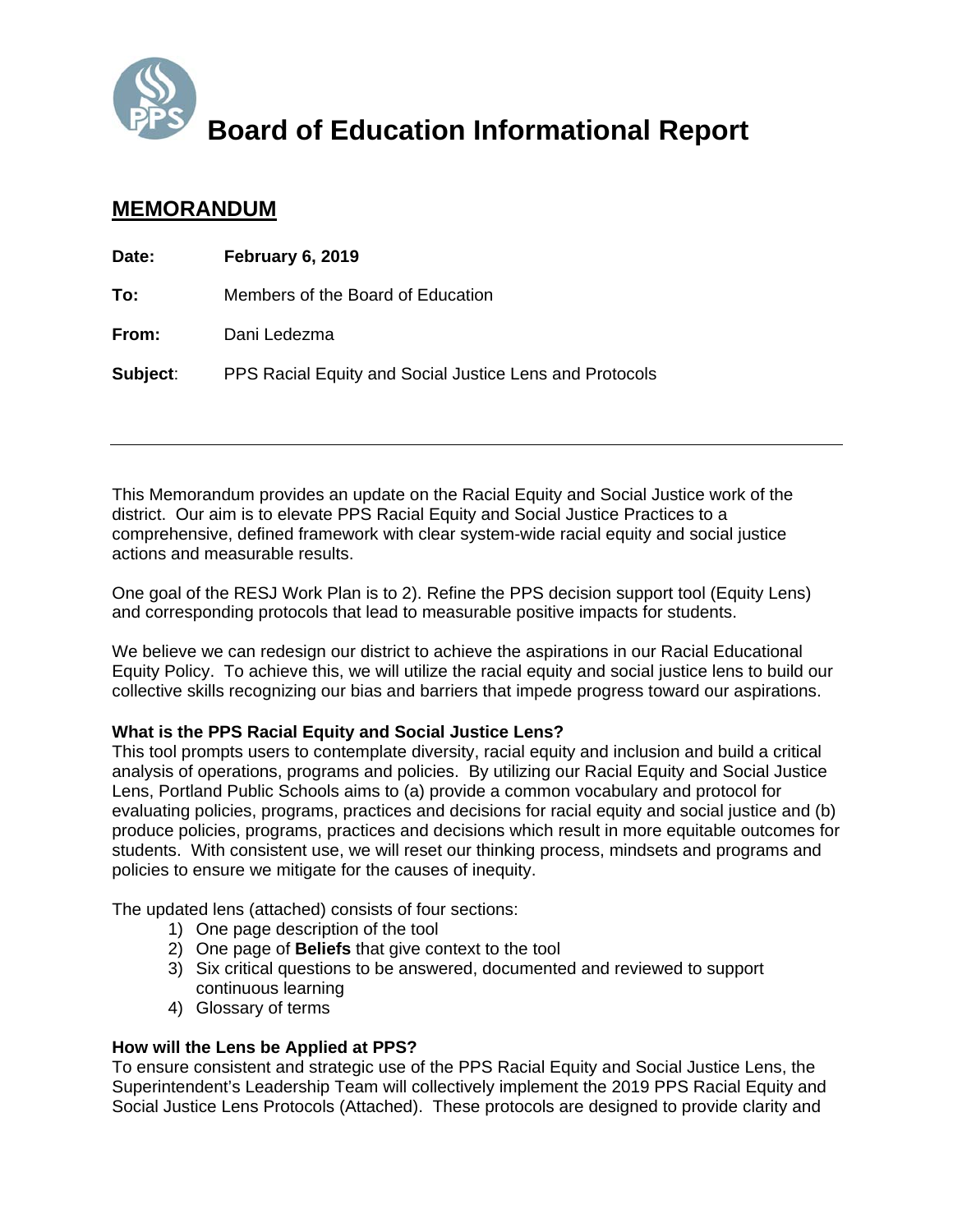

# **Board of Education Informational Report**

# **MEMORANDUM**

| Date:    | February 6, 2019                                        |
|----------|---------------------------------------------------------|
| To:      | Members of the Board of Education                       |
| From:    | Dani Ledezma                                            |
| Subject: | PPS Racial Equity and Social Justice Lens and Protocols |

This Memorandum provides an update on the Racial Equity and Social Justice work of the district. Our aim is to elevate PPS Racial Equity and Social Justice Practices to a comprehensive, defined framework with clear system-wide racial equity and social justice actions and measurable results.

One goal of the RESJ Work Plan is to 2). Refine the PPS decision support tool (Equity Lens) and corresponding protocols that lead to measurable positive impacts for students.

We believe we can redesign our district to achieve the aspirations in our Racial Educational Equity Policy. To achieve this, we will utilize the racial equity and social justice lens to build our collective skills recognizing our bias and barriers that impede progress toward our aspirations.

#### **What is the PPS Racial Equity and Social Justice Lens?**

This tool prompts users to contemplate diversity, racial equity and inclusion and build a critical analysis of operations, programs and policies. By utilizing our Racial Equity and Social Justice Lens, Portland Public Schools aims to (a) provide a common vocabulary and protocol for evaluating policies, programs, practices and decisions for racial equity and social justice and (b) produce policies, programs, practices and decisions which result in more equitable outcomes for students. With consistent use, we will reset our thinking process, mindsets and programs and policies to ensure we mitigate for the causes of inequity.

The updated lens (attached) consists of four sections:

- 1) One page description of the tool
- 2) One page of **Beliefs** that give context to the tool
- 3) Six critical questions to be answered, documented and reviewed to support continuous learning
- 4) Glossary of terms

#### **How will the Lens be Applied at PPS?**

To ensure consistent and strategic use of the PPS Racial Equity and Social Justice Lens, the Superintendent's Leadership Team will collectively implement the 2019 PPS Racial Equity and Social Justice Lens Protocols (Attached). These protocols are designed to provide clarity and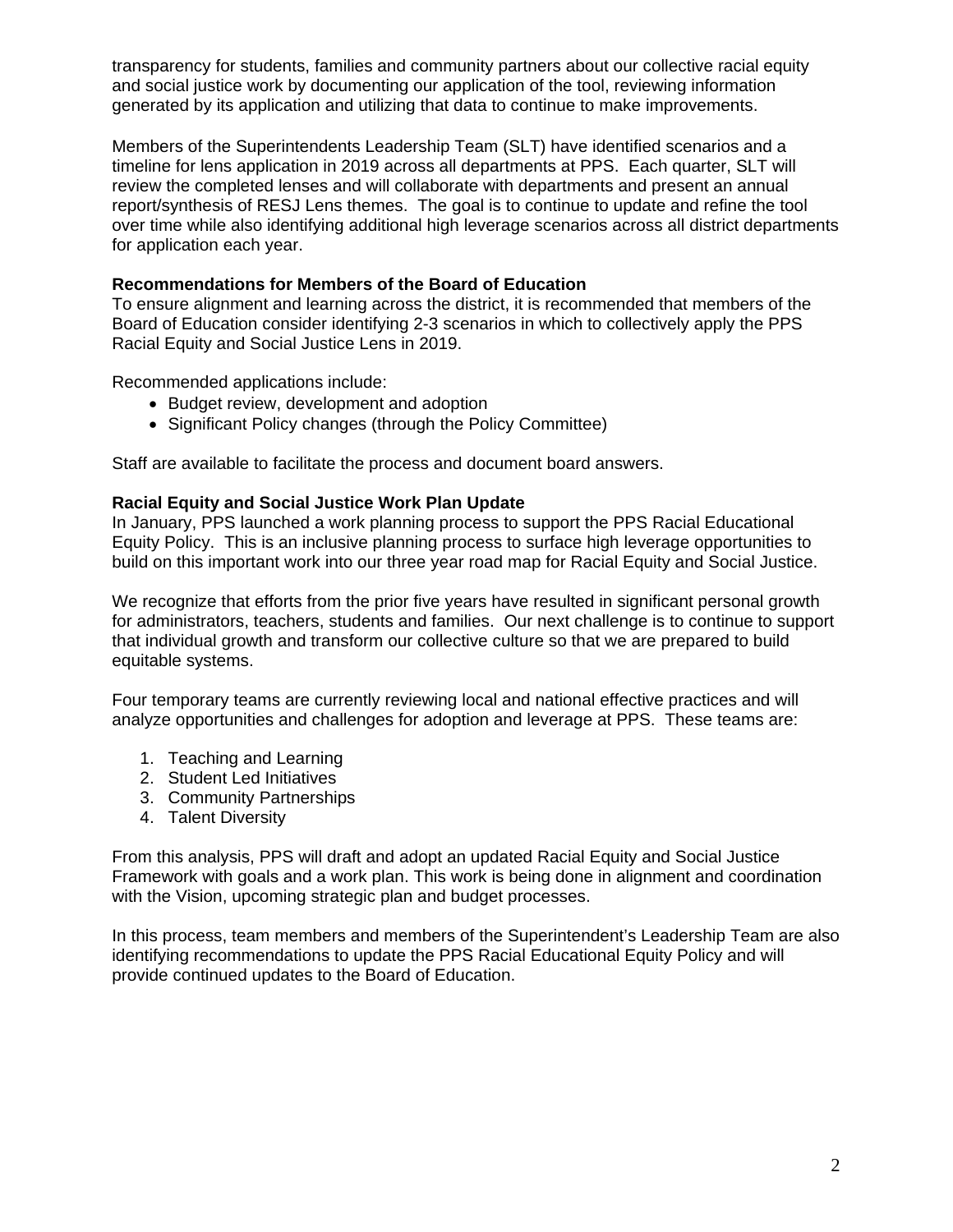transparency for students, families and community partners about our collective racial equity and social justice work by documenting our application of the tool, reviewing information generated by its application and utilizing that data to continue to make improvements.

Members of the Superintendents Leadership Team (SLT) have identified scenarios and a timeline for lens application in 2019 across all departments at PPS. Each quarter, SLT will review the completed lenses and will collaborate with departments and present an annual report/synthesis of RESJ Lens themes. The goal is to continue to update and refine the tool over time while also identifying additional high leverage scenarios across all district departments for application each year.

#### **Recommendations for Members of the Board of Education**

To ensure alignment and learning across the district, it is recommended that members of the Board of Education consider identifying 2-3 scenarios in which to collectively apply the PPS Racial Equity and Social Justice Lens in 2019.

Recommended applications include:

- Budget review, development and adoption
- Significant Policy changes (through the Policy Committee)

Staff are available to facilitate the process and document board answers.

### **Racial Equity and Social Justice Work Plan Update**

In January, PPS launched a work planning process to support the PPS Racial Educational Equity Policy. This is an inclusive planning process to surface high leverage opportunities to build on this important work into our three year road map for Racial Equity and Social Justice.

We recognize that efforts from the prior five years have resulted in significant personal growth for administrators, teachers, students and families. Our next challenge is to continue to support that individual growth and transform our collective culture so that we are prepared to build equitable systems.

Four temporary teams are currently reviewing local and national effective practices and will analyze opportunities and challenges for adoption and leverage at PPS. These teams are:

- 1. Teaching and Learning
- 2. Student Led Initiatives
- 3. Community Partnerships
- 4. Talent Diversity

From this analysis, PPS will draft and adopt an updated Racial Equity and Social Justice Framework with goals and a work plan. This work is being done in alignment and coordination with the Vision, upcoming strategic plan and budget processes.

In this process, team members and members of the Superintendent's Leadership Team are also identifying recommendations to update the PPS Racial Educational Equity Policy and will provide continued updates to the Board of Education.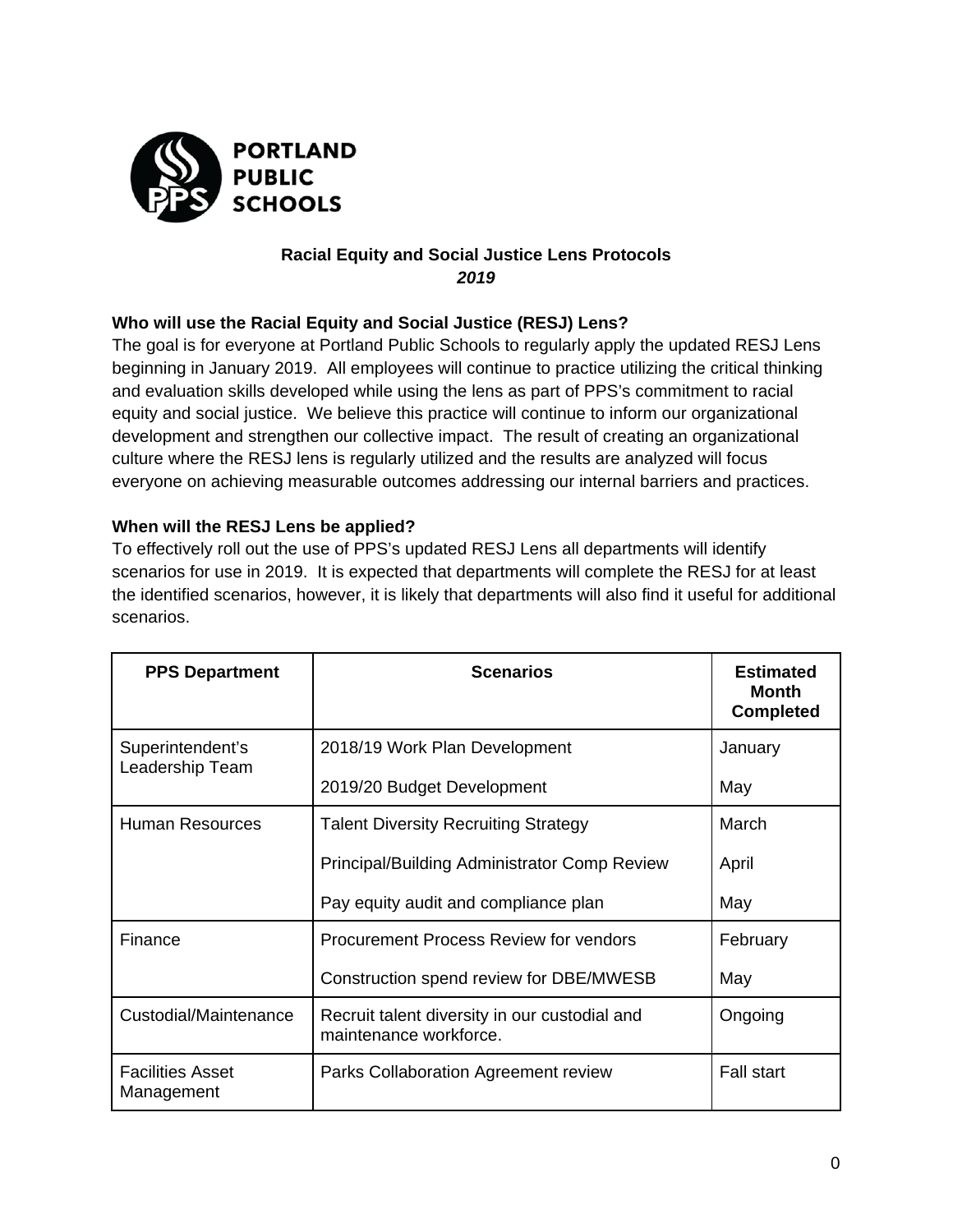

## **Racial Equity and Social Justice Lens Protocols**  *2019*

# **Who will use the Racial Equity and Social Justice (RESJ) Lens?**

The goal is for everyone at Portland Public Schools to regularly apply the updated RESJ Lens beginning in January 2019. All employees will continue to practice utilizing the critical thinking and evaluation skills developed while using the lens as part of PPS's commitment to racial equity and social justice. We believe this practice will continue to inform our organizational development and strengthen our collective impact. The result of creating an organizational culture where the RESJ lens is regularly utilized and the results are analyzed will focus everyone on achieving measurable outcomes addressing our internal barriers and practices.

# **When will the RESJ Lens be applied?**

To effectively roll out the use of PPS's updated RESJ Lens all departments will identify scenarios for use in 2019. It is expected that departments will complete the RESJ for at least the identified scenarios, however, it is likely that departments will also find it useful for additional scenarios.

| <b>PPS Department</b>                 | <b>Scenarios</b>                                                        | <b>Estimated</b><br><b>Month</b><br><b>Completed</b> |
|---------------------------------------|-------------------------------------------------------------------------|------------------------------------------------------|
| Superintendent's<br>Leadership Team   | 2018/19 Work Plan Development                                           | January                                              |
|                                       | 2019/20 Budget Development                                              | May                                                  |
| <b>Human Resources</b>                | <b>Talent Diversity Recruiting Strategy</b>                             | March                                                |
|                                       | <b>Principal/Building Administrator Comp Review</b>                     | April                                                |
|                                       | Pay equity audit and compliance plan                                    | May                                                  |
| Finance                               | Procurement Process Review for vendors                                  | February                                             |
|                                       | Construction spend review for DBE/MWESB                                 | May                                                  |
| Custodial/Maintenance                 | Recruit talent diversity in our custodial and<br>maintenance workforce. | Ongoing                                              |
| <b>Facilities Asset</b><br>Management | Parks Collaboration Agreement review                                    | <b>Fall start</b>                                    |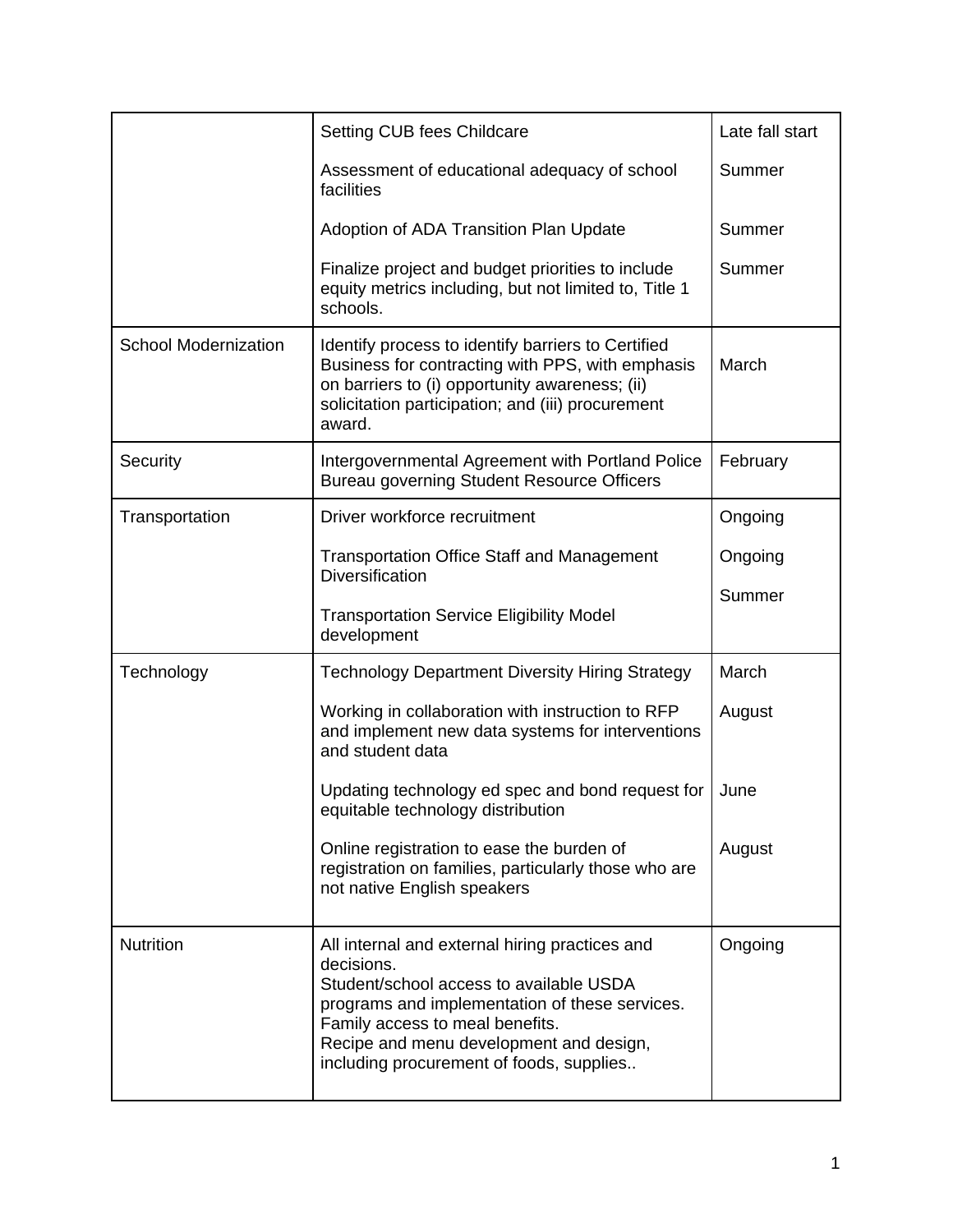|                             | Setting CUB fees Childcare                                                                                                                                                                                                                                                          | Late fall start |
|-----------------------------|-------------------------------------------------------------------------------------------------------------------------------------------------------------------------------------------------------------------------------------------------------------------------------------|-----------------|
|                             | Assessment of educational adequacy of school<br>facilities                                                                                                                                                                                                                          | Summer          |
|                             | Adoption of ADA Transition Plan Update                                                                                                                                                                                                                                              | Summer          |
|                             | Finalize project and budget priorities to include<br>equity metrics including, but not limited to, Title 1<br>schools.                                                                                                                                                              | Summer          |
| <b>School Modernization</b> | Identify process to identify barriers to Certified<br>Business for contracting with PPS, with emphasis<br>on barriers to (i) opportunity awareness; (ii)<br>solicitation participation; and (iii) procurement<br>award.                                                             | March           |
| Security                    | Intergovernmental Agreement with Portland Police<br>Bureau governing Student Resource Officers                                                                                                                                                                                      | February        |
| Transportation              | Driver workforce recruitment                                                                                                                                                                                                                                                        | Ongoing         |
|                             | <b>Transportation Office Staff and Management</b><br><b>Diversification</b>                                                                                                                                                                                                         | Ongoing         |
|                             | <b>Transportation Service Eligibility Model</b><br>development                                                                                                                                                                                                                      | Summer          |
| Technology                  | <b>Technology Department Diversity Hiring Strategy</b>                                                                                                                                                                                                                              | March           |
|                             | Working in collaboration with instruction to RFP<br>and implement new data systems for interventions<br>and student data                                                                                                                                                            | August          |
|                             | Updating technology ed spec and bond request for<br>equitable technology distribution                                                                                                                                                                                               | June            |
|                             | Online registration to ease the burden of<br>registration on families, particularly those who are<br>not native English speakers                                                                                                                                                    | August          |
| <b>Nutrition</b>            | All internal and external hiring practices and<br>decisions.<br>Student/school access to available USDA<br>programs and implementation of these services.<br>Family access to meal benefits.<br>Recipe and menu development and design,<br>including procurement of foods, supplies | Ongoing         |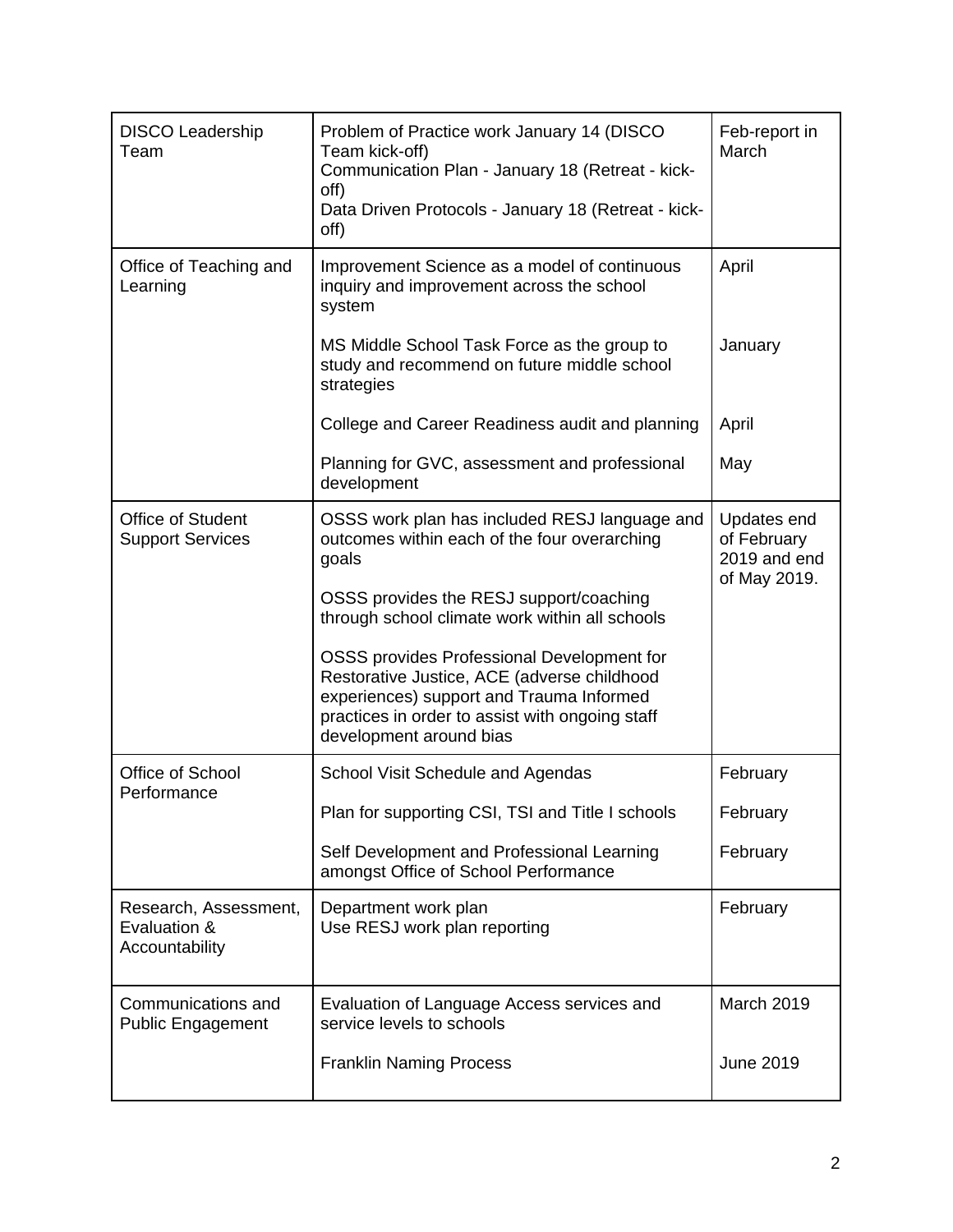| <b>DISCO Leadership</b><br>Team                         | Problem of Practice work January 14 (DISCO<br>Team kick-off)<br>Communication Plan - January 18 (Retreat - kick-<br>off)<br>Data Driven Protocols - January 18 (Retreat - kick-<br>off)                             | Feb-report in<br>March                                     |
|---------------------------------------------------------|---------------------------------------------------------------------------------------------------------------------------------------------------------------------------------------------------------------------|------------------------------------------------------------|
| Office of Teaching and<br>Learning                      | Improvement Science as a model of continuous<br>inquiry and improvement across the school<br>system                                                                                                                 | April                                                      |
|                                                         | MS Middle School Task Force as the group to<br>study and recommend on future middle school<br>strategies                                                                                                            | January                                                    |
|                                                         | College and Career Readiness audit and planning                                                                                                                                                                     | April                                                      |
|                                                         | Planning for GVC, assessment and professional<br>development                                                                                                                                                        | May                                                        |
| <b>Office of Student</b><br><b>Support Services</b>     | OSSS work plan has included RESJ language and<br>outcomes within each of the four overarching<br>goals                                                                                                              | Updates end<br>of February<br>2019 and end<br>of May 2019. |
|                                                         | OSSS provides the RESJ support/coaching<br>through school climate work within all schools                                                                                                                           |                                                            |
|                                                         | OSSS provides Professional Development for<br>Restorative Justice, ACE (adverse childhood<br>experiences) support and Trauma Informed<br>practices in order to assist with ongoing staff<br>development around bias |                                                            |
| Office of School<br>Performance                         | School Visit Schedule and Agendas                                                                                                                                                                                   | February                                                   |
|                                                         | Plan for supporting CSI, TSI and Title I schools                                                                                                                                                                    | February                                                   |
|                                                         | Self Development and Professional Learning<br>amongst Office of School Performance                                                                                                                                  | February                                                   |
| Research, Assessment,<br>Evaluation &<br>Accountability | Department work plan<br>Use RESJ work plan reporting                                                                                                                                                                | February                                                   |
| Communications and<br><b>Public Engagement</b>          | Evaluation of Language Access services and<br>service levels to schools                                                                                                                                             | March 2019                                                 |
|                                                         | <b>Franklin Naming Process</b>                                                                                                                                                                                      | <b>June 2019</b>                                           |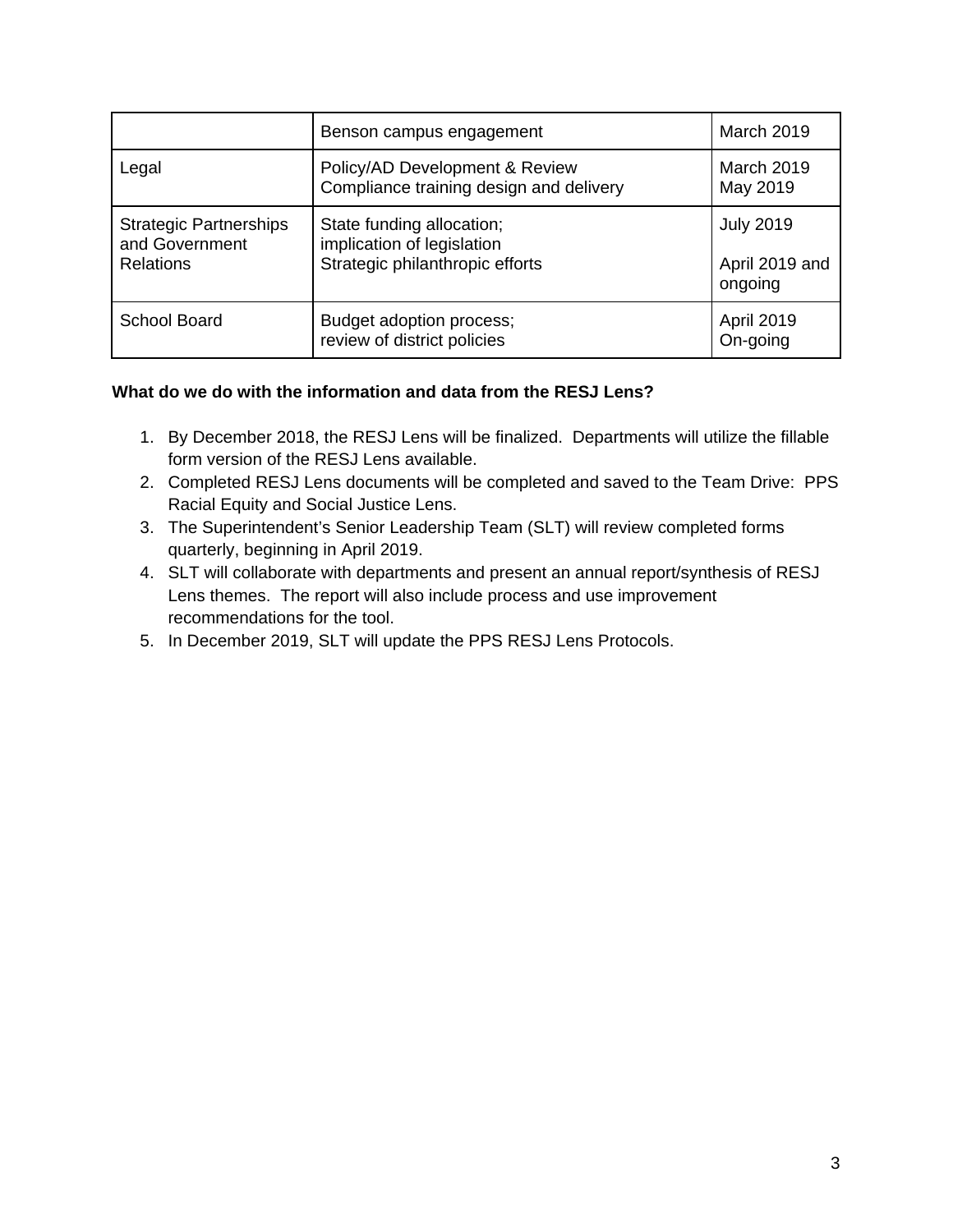|                                                                     | Benson campus engagement                                                                   | <b>March 2019</b>                             |
|---------------------------------------------------------------------|--------------------------------------------------------------------------------------------|-----------------------------------------------|
| Legal                                                               | Policy/AD Development & Review<br>Compliance training design and delivery                  | March 2019<br>May 2019                        |
| <b>Strategic Partnerships</b><br>and Government<br><b>Relations</b> | State funding allocation;<br>implication of legislation<br>Strategic philanthropic efforts | <b>July 2019</b><br>April 2019 and<br>ongoing |
| <b>School Board</b>                                                 | Budget adoption process;<br>review of district policies                                    | <b>April 2019</b><br>On-going                 |

### **What do we do with the information and data from the RESJ Lens?**

- 1. By December 2018, the RESJ Lens will be finalized. Departments will utilize the fillable form version of the RESJ Lens available.
- 2. Completed RESJ Lens documents will be completed and saved to the Team Drive: PPS Racial Equity and Social Justice Lens.
- 3. The Superintendent's Senior Leadership Team (SLT) will review completed forms quarterly, beginning in April 2019.
- 4. SLT will collaborate with departments and present an annual report/synthesis of RESJ Lens themes. The report will also include process and use improvement recommendations for the tool.
- 5. In December 2019, SLT will update the PPS RESJ Lens Protocols.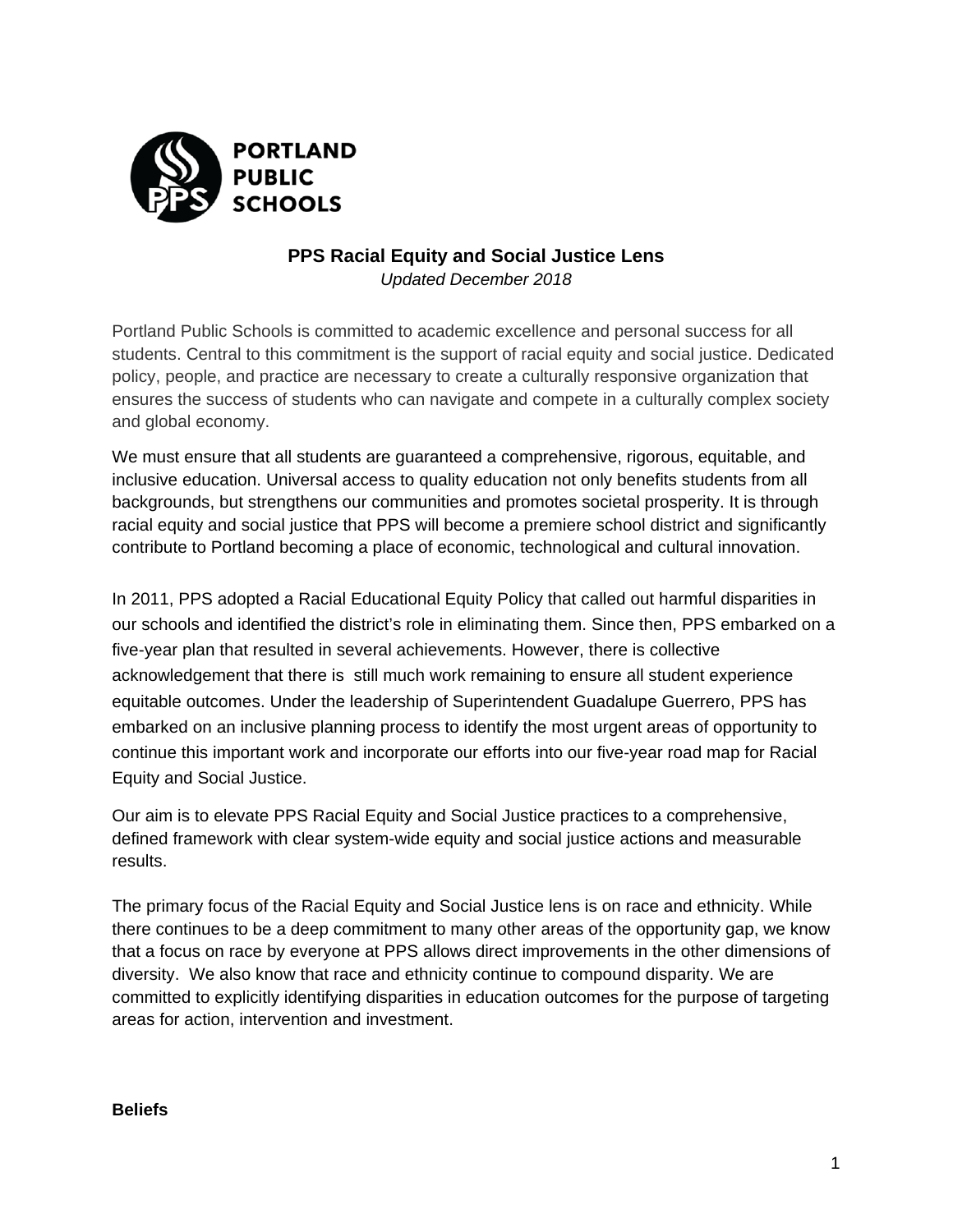

# **PPS Racial Equity and Social Justice Lens**

*Updated December 2018* 

Portland Public Schools is committed to academic excellence and personal success for all students. Central to this commitment is the support of racial equity and social justice. Dedicated policy, people, and practice are necessary to create a culturally responsive organization that ensures the success of students who can navigate and compete in a culturally complex society and global economy.

We must ensure that all students are guaranteed a comprehensive, rigorous, equitable, and inclusive education. Universal access to quality education not only benefits students from all backgrounds, but strengthens our communities and promotes societal prosperity. It is through racial equity and social justice that PPS will become a premiere school district and significantly contribute to Portland becoming a place of economic, technological and cultural innovation.

In 2011, PPS adopted a Racial Educational Equity Policy that called out harmful disparities in our schools and identified the district's role in eliminating them. Since then, PPS embarked on a five-year plan that resulted in several achievements. However, there is collective acknowledgement that there is still much work remaining to ensure all student experience equitable outcomes. Under the leadership of Superintendent Guadalupe Guerrero, PPS has embarked on an inclusive planning process to identify the most urgent areas of opportunity to continue this important work and incorporate our efforts into our five-year road map for Racial Equity and Social Justice.

Our aim is to elevate PPS Racial Equity and Social Justice practices to a comprehensive, defined framework with clear system-wide equity and social justice actions and measurable results.

The primary focus of the Racial Equity and Social Justice lens is on race and ethnicity. While there continues to be a deep commitment to many other areas of the opportunity gap, we know that a focus on race by everyone at PPS allows direct improvements in the other dimensions of diversity. We also know that race and ethnicity continue to compound disparity. We are committed to explicitly identifying disparities in education outcomes for the purpose of targeting areas for action, intervention and investment.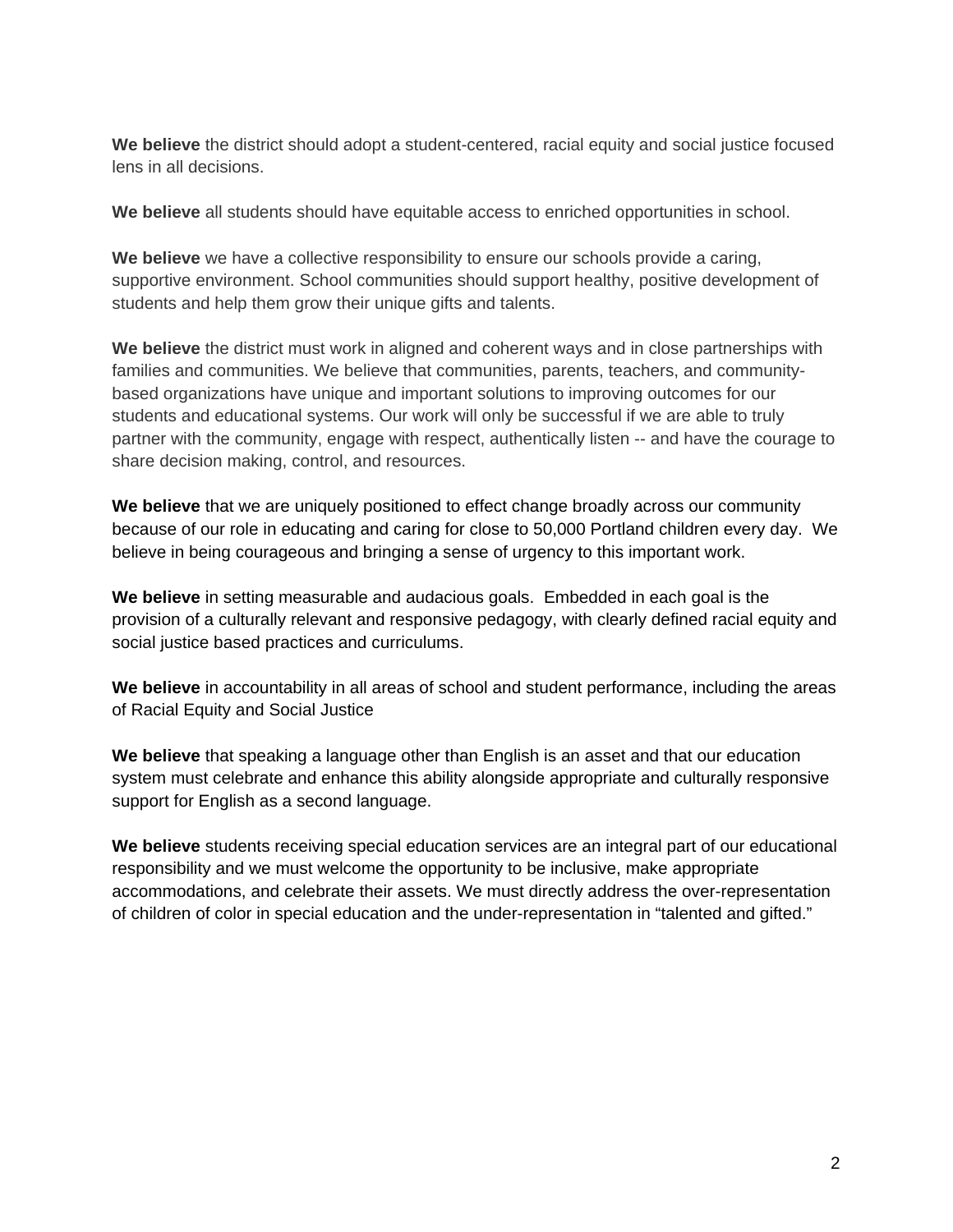**We believe** the district should adopt a student-centered, racial equity and social justice focused lens in all decisions.

**We believe** all students should have equitable access to enriched opportunities in school.

**We believe** we have a collective responsibility to ensure our schools provide a caring, supportive environment. School communities should support healthy, positive development of students and help them grow their unique gifts and talents.

**We believe** the district must work in aligned and coherent ways and in close partnerships with families and communities. We believe that communities, parents, teachers, and communitybased organizations have unique and important solutions to improving outcomes for our students and educational systems. Our work will only be successful if we are able to truly partner with the community, engage with respect, authentically listen -- and have the courage to share decision making, control, and resources.

**We believe** that we are uniquely positioned to effect change broadly across our community because of our role in educating and caring for close to 50,000 Portland children every day. We believe in being courageous and bringing a sense of urgency to this important work.

**We believe** in setting measurable and audacious goals. Embedded in each goal is the provision of a culturally relevant and responsive pedagogy, with clearly defined racial equity and social justice based practices and curriculums.

**We believe** in accountability in all areas of school and student performance, including the areas of Racial Equity and Social Justice

**We believe** that speaking a language other than English is an asset and that our education system must celebrate and enhance this ability alongside appropriate and culturally responsive support for English as a second language.

**We believe** students receiving special education services are an integral part of our educational responsibility and we must welcome the opportunity to be inclusive, make appropriate accommodations, and celebrate their assets. We must directly address the over-representation of children of color in special education and the under-representation in "talented and gifted."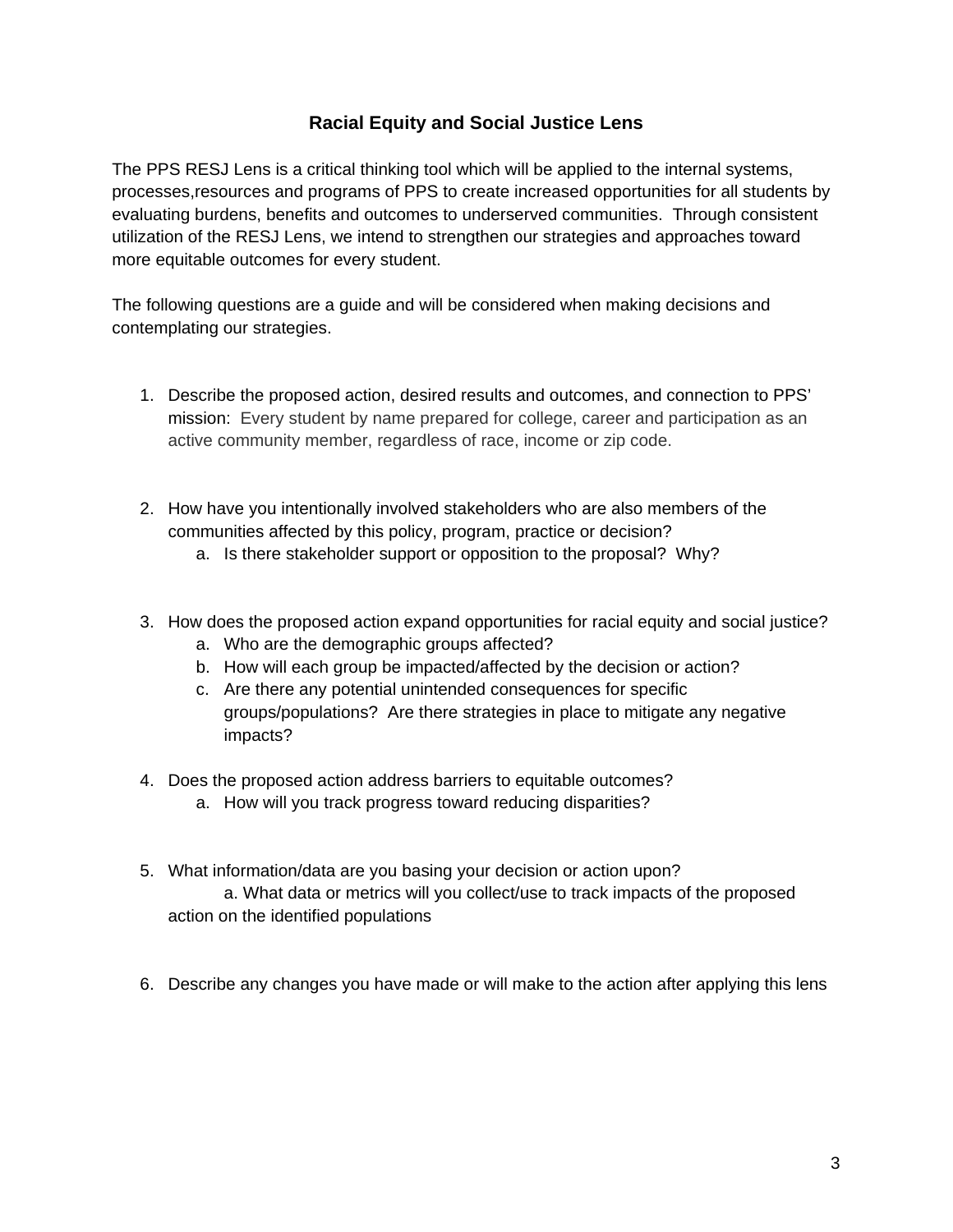# **Racial Equity and Social Justice Lens**

The PPS RESJ Lens is a critical thinking tool which will be applied to the internal systems, processes,resources and programs of PPS to create increased opportunities for all students by evaluating burdens, benefits and outcomes to underserved communities. Through consistent utilization of the RESJ Lens, we intend to strengthen our strategies and approaches toward more equitable outcomes for every student.

The following questions are a guide and will be considered when making decisions and contemplating our strategies.

- 1. Describe the proposed action, desired results and outcomes, and connection to PPS' mission: Every student by name prepared for college, career and participation as an active community member, regardless of race, income or zip code.
- 2. How have you intentionally involved stakeholders who are also members of the communities affected by this policy, program, practice or decision?
	- a. Is there stakeholder support or opposition to the proposal? Why?
- 3. How does the proposed action expand opportunities for racial equity and social justice?
	- a. Who are the demographic groups affected?
	- b. How will each group be impacted/affected by the decision or action?
	- c. Are there any potential unintended consequences for specific groups/populations? Are there strategies in place to mitigate any negative impacts?
- 4. Does the proposed action address barriers to equitable outcomes?
	- a. How will you track progress toward reducing disparities?
- 5. What information/data are you basing your decision or action upon? a. What data or metrics will you collect/use to track impacts of the proposed action on the identified populations
- 6. Describe any changes you have made or will make to the action after applying this lens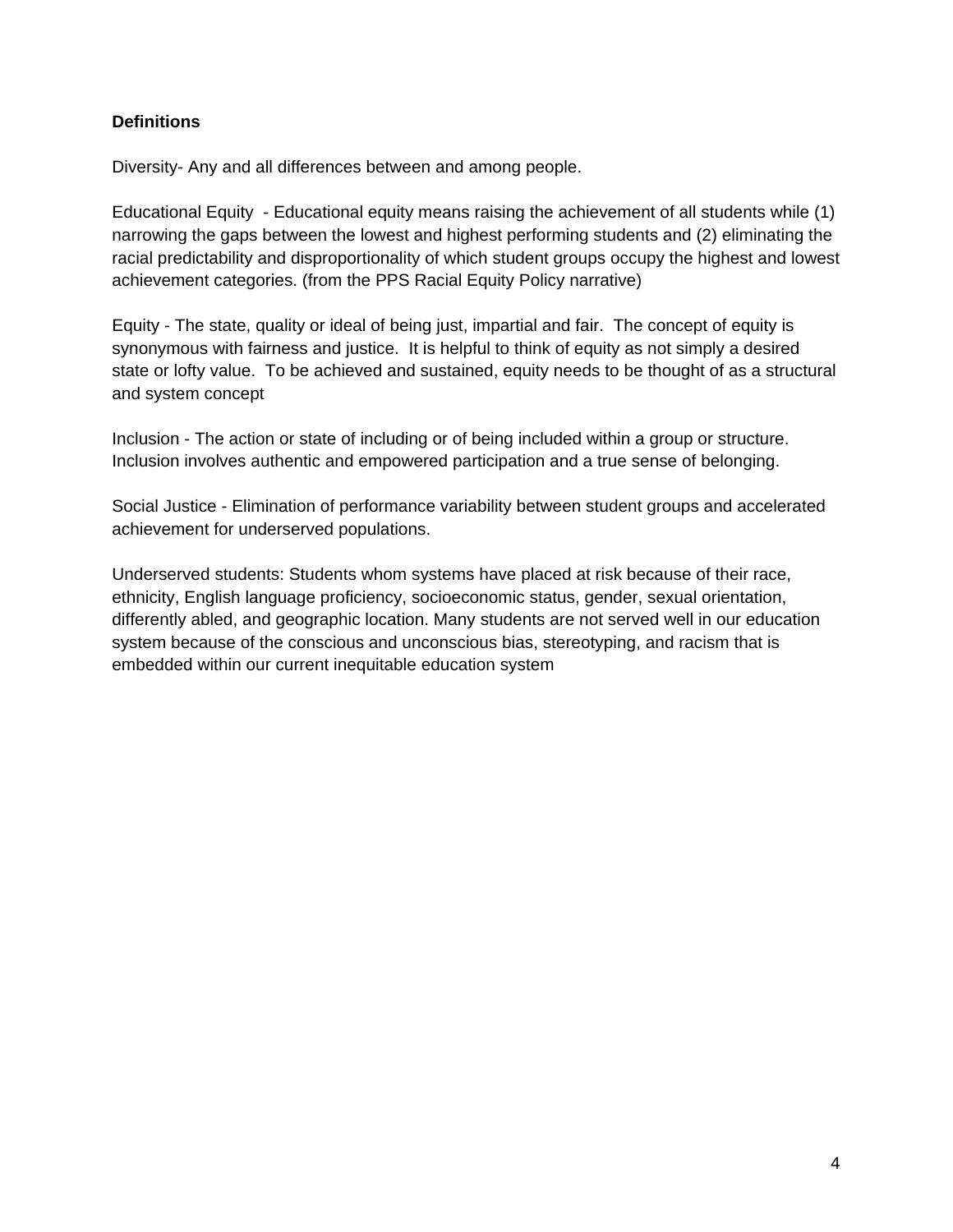### **Definitions**

Diversity- Any and all differences between and among people.

Educational Equity - Educational equity means raising the achievement of all students while (1) narrowing the gaps between the lowest and highest performing students and (2) eliminating the racial predictability and disproportionality of which student groups occupy the highest and lowest achievement categories. (from the PPS Racial Equity Policy narrative)

Equity - The state, quality or ideal of being just, impartial and fair. The concept of equity is synonymous with fairness and justice. It is helpful to think of equity as not simply a desired state or lofty value. To be achieved and sustained, equity needs to be thought of as a structural and system concept

Inclusion - The action or state of including or of being included within a group or structure. Inclusion involves authentic and empowered participation and a true sense of belonging.

Social Justice - Elimination of performance variability between student groups and accelerated achievement for underserved populations.

Underserved students: Students whom systems have placed at risk because of their race, ethnicity, English language proficiency, socioeconomic status, gender, sexual orientation, differently abled, and geographic location. Many students are not served well in our education system because of the conscious and unconscious bias, stereotyping, and racism that is embedded within our current inequitable education system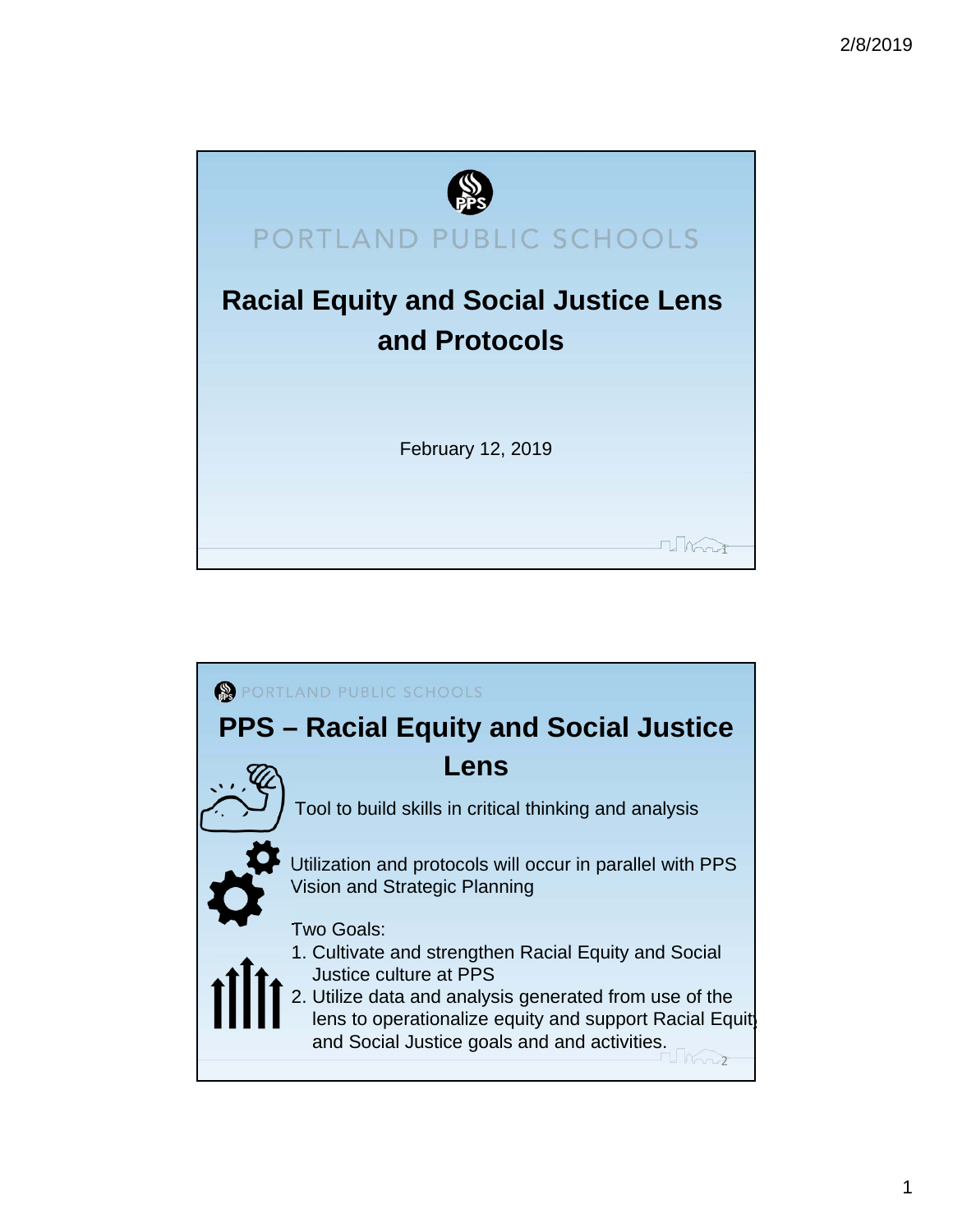

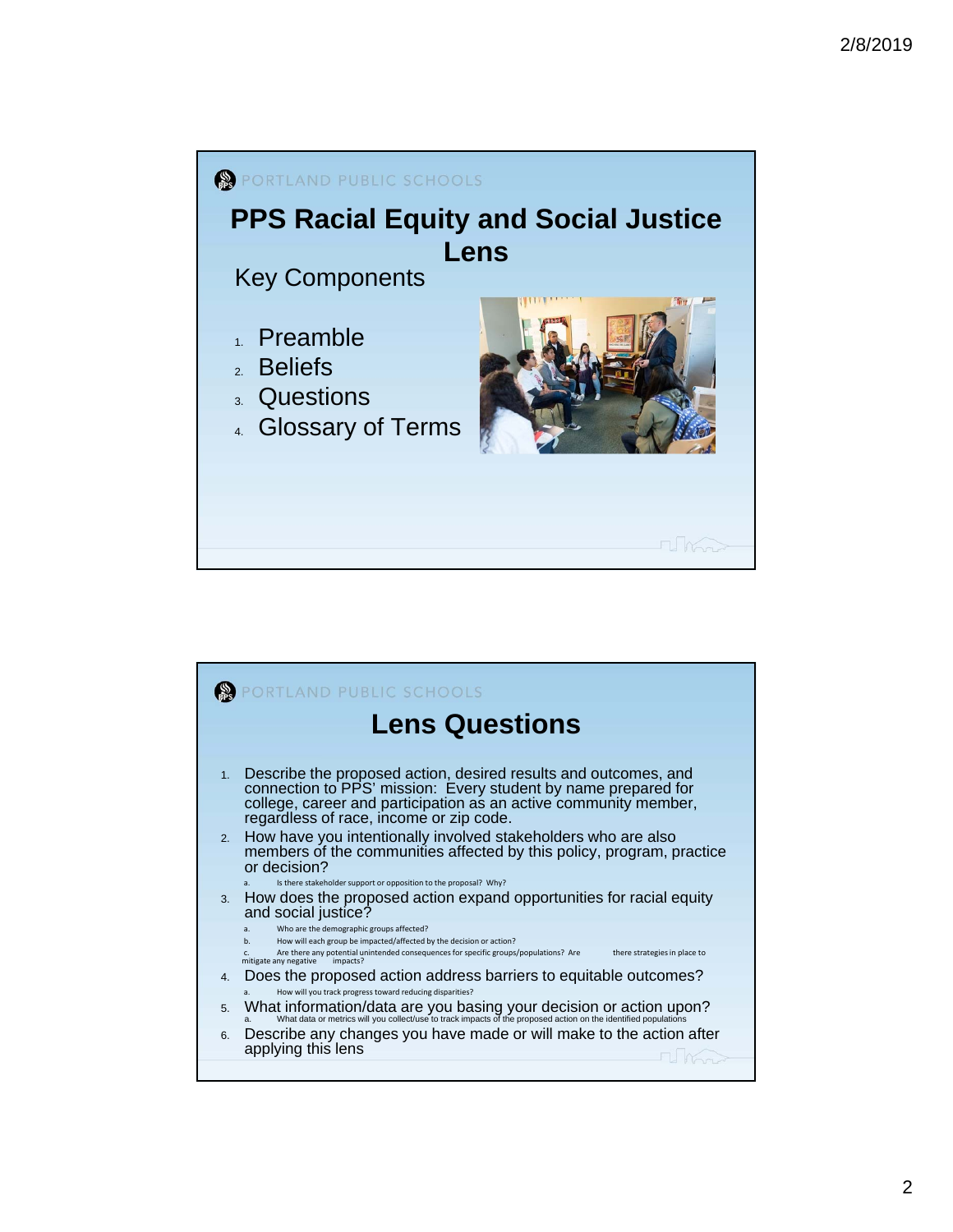

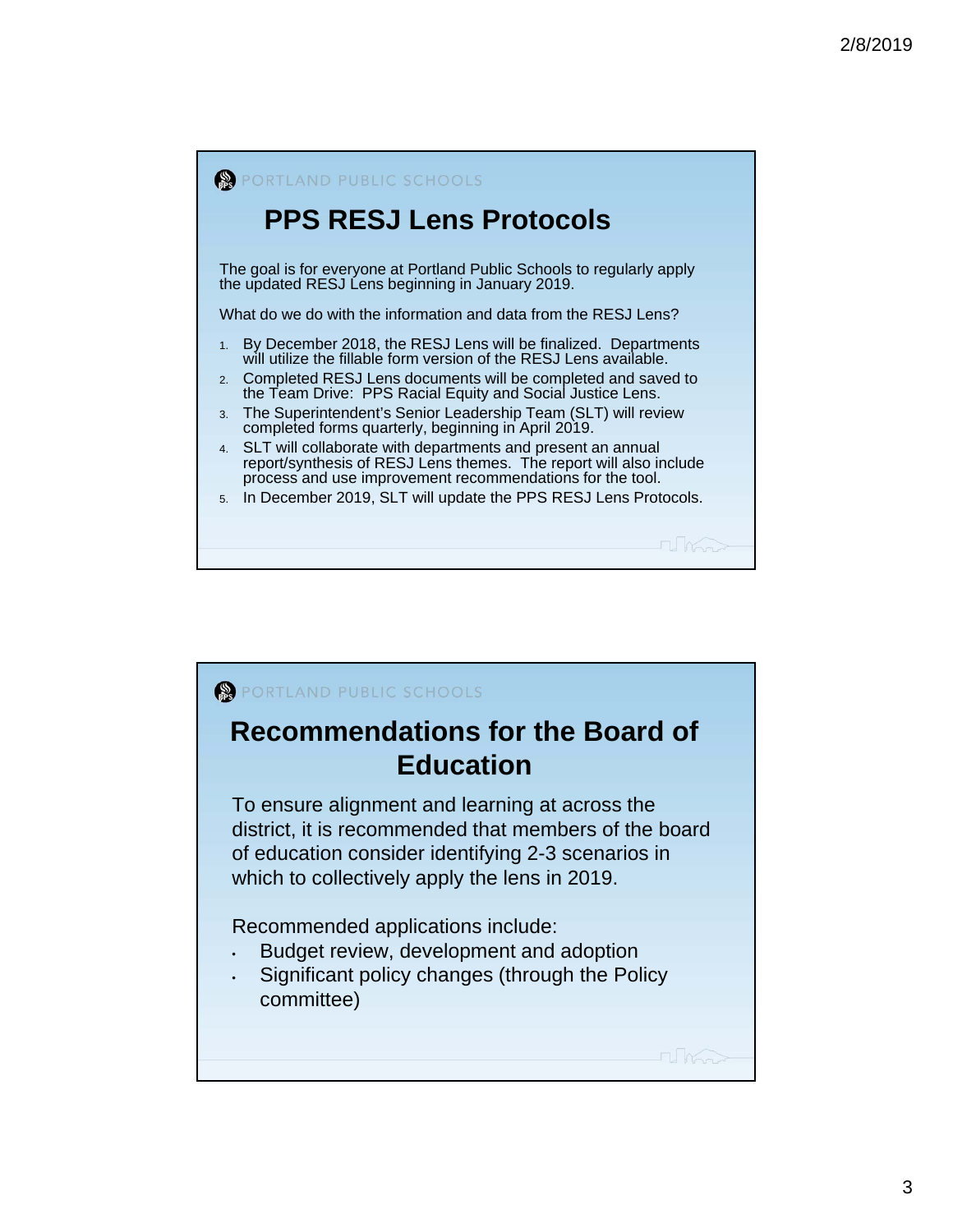